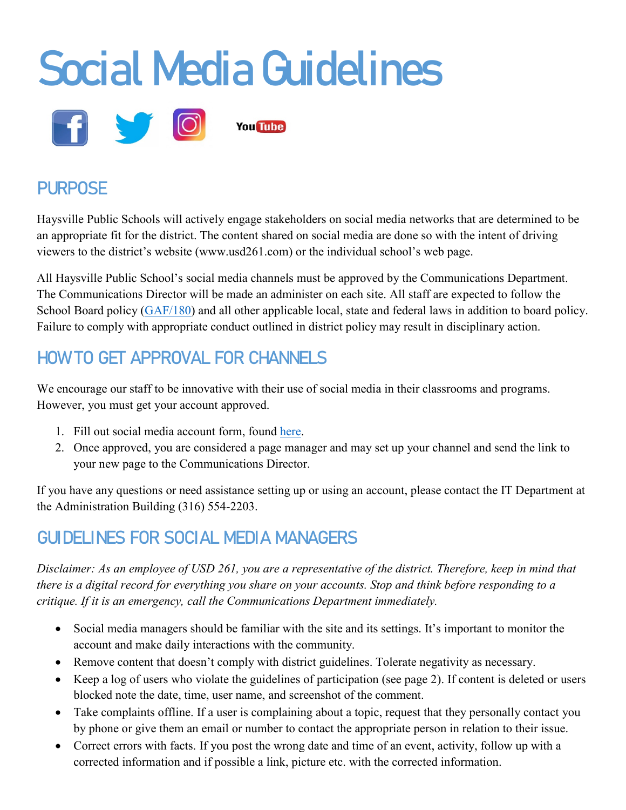

# **PURPOSE**

Haysville Public Schools will actively engage stakeholders on social media networks that are determined to be an appropriate fit for the district. The content shared on social media are done so with the intent of driving viewers to the district's website (www.usd261.com) or the individual school's web page.

All Haysville Public School's social media channels must be approved by the Communications Department. The Communications Director will be made an administer on each site. All staff are expected to follow the School Board policy [\(GAF/180\)](http://www.usd261.org:8080/docushare/dsweb/Get/Document-14/BOE%20Policy%20Manualreformatted.pdf) and all other applicable local, state and federal laws in addition to board policy. Failure to comply with appropriate conduct outlined in district policy may result in disciplinary action.

# HOW TO GET APPROVAL FOR CHANNELS

We encourage our staff to be innovative with their use of social media in their classrooms and programs. However, you must get your account approved.

- 1. Fill out social media account form, found [here.](https://docs.google.com/forms/d/e/1FAIpQLSeyRqvv0Gnm3VsGf0ZIkxb3kIbjMjGeSPFNGHw_Il72gKcTCQ/viewform)
- 2. Once approved, you are considered a page manager and may set up your channel and send the link to your new page to the Communications Director.

If you have any questions or need assistance setting up or using an account, please contact the IT Department at the Administration Building (316) 554-2203.

### GUIDELINES FOR SOCIAL MEDIA MANAGERS

*Disclaimer: As an employee of USD 261, you are a representative of the district. Therefore, keep in mind that there is a digital record for everything you share on your accounts. Stop and think before responding to a critique. If it is an emergency, call the Communications Department immediately.* 

- Social media managers should be familiar with the site and its settings. It's important to monitor the account and make daily interactions with the community.
- Remove content that doesn't comply with district guidelines. Tolerate negativity as necessary.
- Keep a log of users who violate the guidelines of participation (see page 2). If content is deleted or users blocked note the date, time, user name, and screenshot of the comment.
- Take complaints offline. If a user is complaining about a topic, request that they personally contact you by phone or give them an email or number to contact the appropriate person in relation to their issue.
- Correct errors with facts. If you post the wrong date and time of an event, activity, follow up with a corrected information and if possible a link, picture etc. with the corrected information.